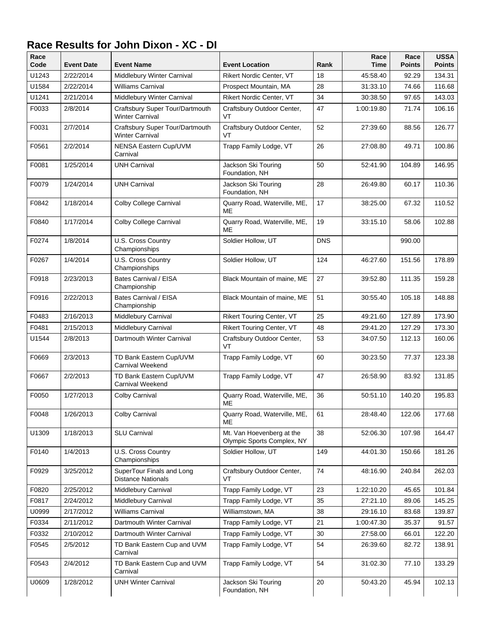## **Race Results for John Dixon - XC - DI**

| Race<br>Code | <b>Event Date</b> | <b>Event Name</b>                                         | <b>Event Location</b>                                   | Rank       | Race<br><b>Time</b> | Race<br><b>Points</b> | <b>USSA</b><br><b>Points</b> |
|--------------|-------------------|-----------------------------------------------------------|---------------------------------------------------------|------------|---------------------|-----------------------|------------------------------|
| U1243        | 2/22/2014         | Middlebury Winter Carnival                                | <b>Rikert Nordic Center, VT</b>                         | 18         | 45:58.40            | 92.29                 | 134.31                       |
| U1584        | 2/22/2014         | Williams Carnival                                         | Prospect Mountain, MA                                   | 28         | 31:33.10            | 74.66                 | 116.68                       |
| U1241        | 2/21/2014         | Middlebury Winter Carnival                                | Rikert Nordic Center, VT                                | 34         | 30:38.50            | 97.65                 | 143.03                       |
| F0033        | 2/8/2014          | Craftsbury Super Tour/Dartmouth<br><b>Winter Carnival</b> | Craftsbury Outdoor Center,<br><b>VT</b>                 | 47         | 1:00:19.80          | 71.74                 | 106.16                       |
| F0031        | 2/7/2014          | Craftsbury Super Tour/Dartmouth<br><b>Winter Carnival</b> | Craftsbury Outdoor Center,<br>VT                        | 52         | 27:39.60            | 88.56                 | 126.77                       |
| F0561        | 2/2/2014          | NENSA Eastern Cup/UVM<br>Carnival                         | Trapp Family Lodge, VT                                  | 26         | 27:08.80            | 49.71                 | 100.86                       |
| F0081        | 1/25/2014         | <b>UNH Carnival</b>                                       | Jackson Ski Touring<br>Foundation, NH                   | 50         | 52:41.90            | 104.89                | 146.95                       |
| F0079        | 1/24/2014         | <b>UNH Carnival</b>                                       | Jackson Ski Touring<br>Foundation, NH                   | 28         | 26:49.80            | 60.17                 | 110.36                       |
| F0842        | 1/18/2014         | Colby College Carnival                                    | Quarry Road, Waterville, ME,<br>ME                      | 17         | 38:25.00            | 67.32                 | 110.52                       |
| F0840        | 1/17/2014         | Colby College Carnival                                    | Quarry Road, Waterville, ME,<br>ME                      | 19         | 33:15.10            | 58.06                 | 102.88                       |
| F0274        | 1/8/2014          | U.S. Cross Country<br>Championships                       | Soldier Hollow, UT                                      | <b>DNS</b> |                     | 990.00                |                              |
| F0267        | 1/4/2014          | U.S. Cross Country<br>Championships                       | Soldier Hollow, UT                                      | 124        | 46:27.60            | 151.56                | 178.89                       |
| F0918        | 2/23/2013         | Bates Carnival / EISA<br>Championship                     | Black Mountain of maine. ME                             | 27         | 39:52.80            | 111.35                | 159.28                       |
| F0916        | 2/22/2013         | Bates Carnival / EISA<br>Championship                     | Black Mountain of maine, ME                             | 51         | 30:55.40            | 105.18                | 148.88                       |
| F0483        | 2/16/2013         | Middlebury Carnival                                       | <b>Rikert Touring Center, VT</b>                        | 25         | 49:21.60            | 127.89                | 173.90                       |
| F0481        | 2/15/2013         | Middlebury Carnival                                       | <b>Rikert Touring Center, VT</b>                        | 48         | 29:41.20            | 127.29                | 173.30                       |
| U1544        | 2/8/2013          | Dartmouth Winter Carnival                                 | Craftsbury Outdoor Center,<br>VT                        | 53         | 34:07.50            | 112.13                | 160.06                       |
| F0669        | 2/3/2013          | TD Bank Eastern Cup/UVM<br>Carnival Weekend               | Trapp Family Lodge, VT                                  | 60         | 30:23.50            | 77.37                 | 123.38                       |
| F0667        | 2/2/2013          | TD Bank Eastern Cup/UVM<br>Carnival Weekend               | Trapp Family Lodge, VT                                  | 47         | 26:58.90            | 83.92                 | 131.85                       |
| F0050        | 1/27/2013         | Colby Carnival                                            | Quarry Road, Waterville, ME,<br>ME                      | 36         | 50:51.10            | 140.20                | 195.83                       |
| F0048        | 1/26/2013         | Colby Carnival                                            | Quarry Road, Waterville, ME,<br>ME                      | 61         | 28:48.40            | 122.06                | 177.68                       |
| U1309        | 1/18/2013         | <b>SLU Carnival</b>                                       | Mt. Van Hoevenberg at the<br>Olympic Sports Complex, NY | 38         | 52:06.30            | 107.98                | 164.47                       |
| F0140        | 1/4/2013          | U.S. Cross Country<br>Championships                       | Soldier Hollow, UT                                      | 149        | 44:01.30            | 150.66                | 181.26                       |
| F0929        | 3/25/2012         | SuperTour Finals and Long<br><b>Distance Nationals</b>    | Craftsbury Outdoor Center,<br>VT                        | 74         | 48:16.90            | 240.84                | 262.03                       |
| F0820        | 2/25/2012         | Middlebury Carnival                                       | Trapp Family Lodge, VT                                  | 23         | 1:22:10.20          | 45.65                 | 101.84                       |
| F0817        | 2/24/2012         | <b>Middlebury Carnival</b>                                | Trapp Family Lodge, VT                                  | 35         | 27:21.10            | 89.06                 | 145.25                       |
| U0999        | 2/17/2012         | <b>Williams Carnival</b>                                  | Williamstown, MA                                        | 38         | 29:16.10            | 83.68                 | 139.87                       |
| F0334        | 2/11/2012         | Dartmouth Winter Carnival                                 | Trapp Family Lodge, VT                                  | 21         | 1:00:47.30          | 35.37                 | 91.57                        |
| F0332        | 2/10/2012         | Dartmouth Winter Carnival                                 | Trapp Family Lodge, VT                                  | 30         | 27:58.00            | 66.01                 | 122.20                       |
| F0545        | 2/5/2012          | TD Bank Eastern Cup and UVM<br>Carnival                   | Trapp Family Lodge, VT                                  | 54         | 26:39.60            | 82.72                 | 138.91                       |
| F0543        | 2/4/2012          | TD Bank Eastern Cup and UVM<br>Carnival                   | Trapp Family Lodge, VT                                  | 54         | 31:02.30            | 77.10                 | 133.29                       |
| U0609        | 1/28/2012         | <b>UNH Winter Carnival</b>                                | Jackson Ski Touring<br>Foundation, NH                   | $20\,$     | 50:43.20            | 45.94                 | 102.13                       |